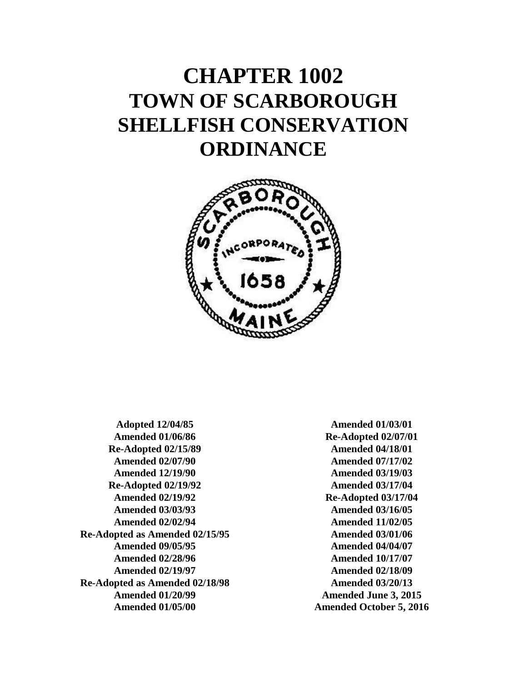# **CHAPTER 1002 TOWN OF SCARBOROUGH SHELLFISH CONSERVATION ORDINANCE**



**Adopted 12/04/85 Amended 01/06/86 Re-Adopted 02/15/89 Amended 02/07/90 Amended 12/19/90 Re-Adopted 02/19/92 Amended 02/19/92 Amended 03/03/93 Amended 02/02/94 Re-Adopted as Amended 02/15/95 Amended 09/05/95 Amended 02/28/96 Amended 02/19/97 Re-Adopted as Amended 02/18/98 Amended 01/20/99 Amended 01/05/00**

**Amended 01/03/01 Re-Adopted 02/07/01 Amended 04/18/01 Amended 07/17/02 Amended 03/19/03 Amended 03/17/04 Re-Adopted 03/17/04 Amended 03/16/05 Amended 11/02/05 Amended 03/01/06 Amended 04/04/07 Amended 10/17/07 Amended 02/18/09 Amended 03/20/13 Amended June 3, 2015 Amended October 5, 2016**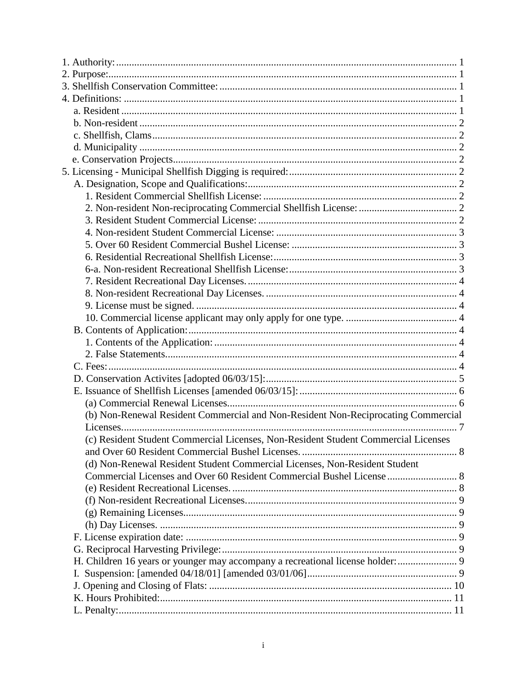| (b) Non-Renewal Resident Commercial and Non-Resident Non-Reciprocating Commercial  |  |
|------------------------------------------------------------------------------------|--|
|                                                                                    |  |
| (c) Resident Student Commercial Licenses, Non-Resident Student Commercial Licenses |  |
|                                                                                    |  |
| (d) Non-Renewal Resident Student Commercial Licenses, Non-Resident Student         |  |
| Commercial Licenses and Over 60 Resident Commercial Bushel License  8              |  |
|                                                                                    |  |
|                                                                                    |  |
|                                                                                    |  |
|                                                                                    |  |
|                                                                                    |  |
|                                                                                    |  |
| H. Children 16 years or younger may accompany a recreational license holder:  9    |  |
|                                                                                    |  |
|                                                                                    |  |
|                                                                                    |  |
|                                                                                    |  |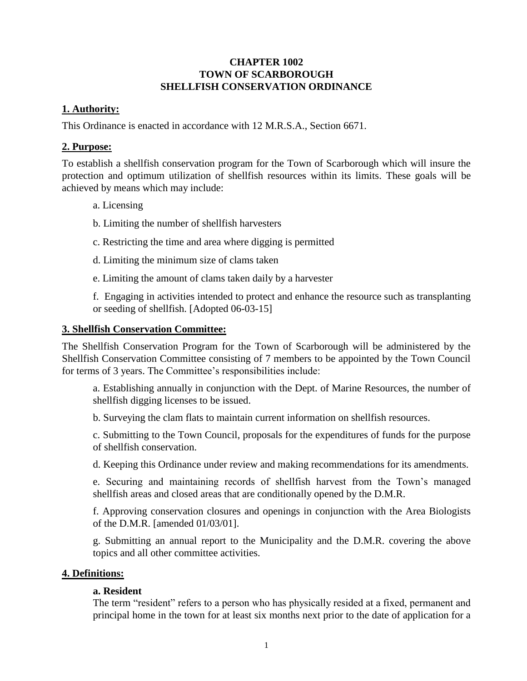# **CHAPTER 1002 TOWN OF SCARBOROUGH SHELLFISH CONSERVATION ORDINANCE**

# <span id="page-3-0"></span>**1. Authority:**

This Ordinance is enacted in accordance with 12 M.R.S.A., Section 6671.

# <span id="page-3-1"></span>**2. Purpose:**

To establish a shellfish conservation program for the Town of Scarborough which will insure the protection and optimum utilization of shellfish resources within its limits. These goals will be achieved by means which may include:

- a. Licensing
- b. Limiting the number of shellfish harvesters
- c. Restricting the time and area where digging is permitted
- d. Limiting the minimum size of clams taken
- e. Limiting the amount of clams taken daily by a harvester

f. Engaging in activities intended to protect and enhance the resource such as transplanting or seeding of shellfish. [Adopted 06-03-15]

# <span id="page-3-2"></span>**3. Shellfish Conservation Committee:**

The Shellfish Conservation Program for the Town of Scarborough will be administered by the Shellfish Conservation Committee consisting of 7 members to be appointed by the Town Council for terms of 3 years. The Committee's responsibilities include:

a. Establishing annually in conjunction with the Dept. of Marine Resources, the number of shellfish digging licenses to be issued.

b. Surveying the clam flats to maintain current information on shellfish resources.

c. Submitting to the Town Council, proposals for the expenditures of funds for the purpose of shellfish conservation.

d. Keeping this Ordinance under review and making recommendations for its amendments.

e. Securing and maintaining records of shellfish harvest from the Town's managed shellfish areas and closed areas that are conditionally opened by the D.M.R.

f. Approving conservation closures and openings in conjunction with the Area Biologists of the D.M.R. [amended 01/03/01].

g. Submitting an annual report to the Municipality and the D.M.R. covering the above topics and all other committee activities.

# <span id="page-3-4"></span><span id="page-3-3"></span>**4. Definitions:**

# **a. Resident**

The term "resident" refers to a person who has physically resided at a fixed, permanent and principal home in the town for at least six months next prior to the date of application for a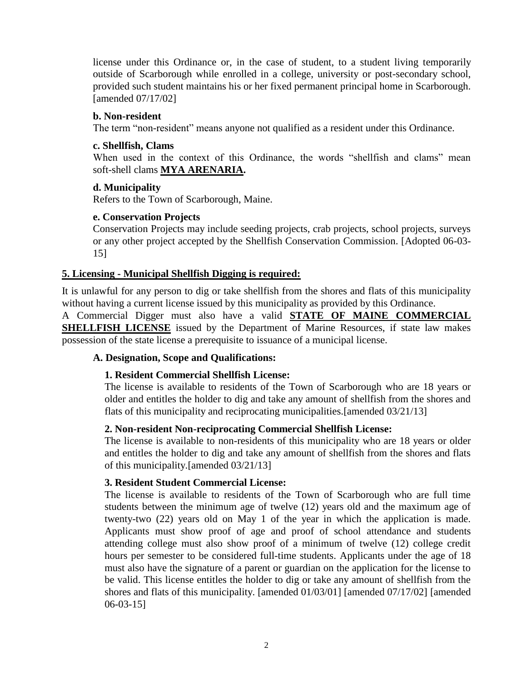license under this Ordinance or, in the case of student, to a student living temporarily outside of Scarborough while enrolled in a college, university or post-secondary school, provided such student maintains his or her fixed permanent principal home in Scarborough. [amended 07/17/02]

## <span id="page-4-0"></span>**b. Non-resident**

The term "non-resident" means anyone not qualified as a resident under this Ordinance.

## <span id="page-4-1"></span>**c. Shellfish, Clams**

When used in the context of this Ordinance, the words "shellfish and clams" mean soft-shell clams **MYA ARENARIA.**

# <span id="page-4-2"></span>**d. Municipality**

Refers to the Town of Scarborough, Maine.

## **e. Conservation Projects**

Conservation Projects may include seeding projects, crab projects, school projects, surveys or any other project accepted by the Shellfish Conservation Commission. [Adopted 06-03- 15]

# <span id="page-4-3"></span>**5. Licensing - Municipal Shellfish Digging is required:**

It is unlawful for any person to dig or take shellfish from the shores and flats of this municipality without having a current license issued by this municipality as provided by this Ordinance.

A Commercial Digger must also have a valid **STATE OF MAINE COMMERCIAL SHELLFISH LICENSE** issued by the Department of Marine Resources, if state law makes possession of the state license a prerequisite to issuance of a municipal license.

# <span id="page-4-5"></span><span id="page-4-4"></span>**A. Designation, Scope and Qualifications:**

# **1. Resident Commercial Shellfish License:**

The license is available to residents of the Town of Scarborough who are 18 years or older and entitles the holder to dig and take any amount of shellfish from the shores and flats of this municipality and reciprocating municipalities.[amended 03/21/13]

#### <span id="page-4-6"></span>**2. Non-resident Non-reciprocating Commercial Shellfish License:**

The license is available to non-residents of this municipality who are 18 years or older and entitles the holder to dig and take any amount of shellfish from the shores and flats of this municipality.[amended 03/21/13]

#### <span id="page-4-7"></span>**3. Resident Student Commercial License:**

The license is available to residents of the Town of Scarborough who are full time students between the minimum age of twelve (12) years old and the maximum age of twenty-two (22) years old on May 1 of the year in which the application is made. Applicants must show proof of age and proof of school attendance and students attending college must also show proof of a minimum of twelve (12) college credit hours per semester to be considered full-time students. Applicants under the age of 18 must also have the signature of a parent or guardian on the application for the license to be valid. This license entitles the holder to dig or take any amount of shellfish from the shores and flats of this municipality. [amended 01/03/01] [amended 07/17/02] [amended 06-03-15]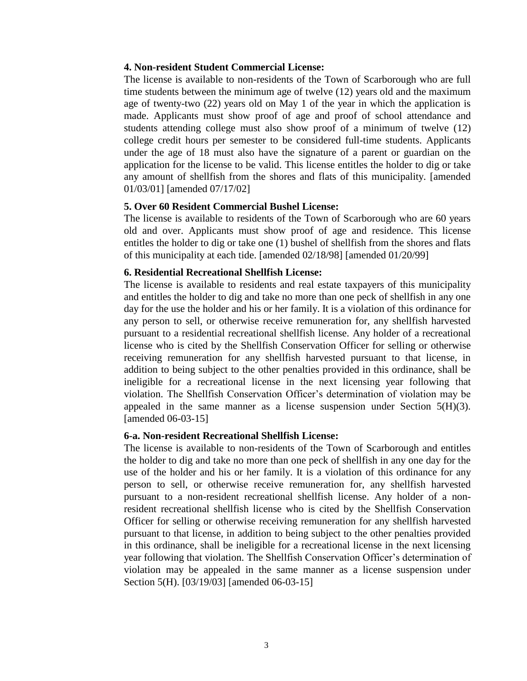## <span id="page-5-0"></span>**4. Non-resident Student Commercial License:**

The license is available to non-residents of the Town of Scarborough who are full time students between the minimum age of twelve (12) years old and the maximum age of twenty-two (22) years old on May 1 of the year in which the application is made. Applicants must show proof of age and proof of school attendance and students attending college must also show proof of a minimum of twelve (12) college credit hours per semester to be considered full-time students. Applicants under the age of 18 must also have the signature of a parent or guardian on the application for the license to be valid. This license entitles the holder to dig or take any amount of shellfish from the shores and flats of this municipality. [amended 01/03/01] [amended 07/17/02]

#### <span id="page-5-1"></span>**5. Over 60 Resident Commercial Bushel License:**

The license is available to residents of the Town of Scarborough who are 60 years old and over. Applicants must show proof of age and residence. This license entitles the holder to dig or take one (1) bushel of shellfish from the shores and flats of this municipality at each tide. [amended 02/18/98] [amended 01/20/99]

#### <span id="page-5-2"></span>**6. Residential Recreational Shellfish License:**

The license is available to residents and real estate taxpayers of this municipality and entitles the holder to dig and take no more than one peck of shellfish in any one day for the use the holder and his or her family. It is a violation of this ordinance for any person to sell, or otherwise receive remuneration for, any shellfish harvested pursuant to a residential recreational shellfish license. Any holder of a recreational license who is cited by the Shellfish Conservation Officer for selling or otherwise receiving remuneration for any shellfish harvested pursuant to that license, in addition to being subject to the other penalties provided in this ordinance, shall be ineligible for a recreational license in the next licensing year following that violation. The Shellfish Conservation Officer's determination of violation may be appealed in the same manner as a license suspension under Section 5(H)(3). [amended 06-03-15]

#### <span id="page-5-3"></span>**6-a. Non-resident Recreational Shellfish License:**

The license is available to non-residents of the Town of Scarborough and entitles the holder to dig and take no more than one peck of shellfish in any one day for the use of the holder and his or her family. It is a violation of this ordinance for any person to sell, or otherwise receive remuneration for, any shellfish harvested pursuant to a non-resident recreational shellfish license. Any holder of a nonresident recreational shellfish license who is cited by the Shellfish Conservation Officer for selling or otherwise receiving remuneration for any shellfish harvested pursuant to that license, in addition to being subject to the other penalties provided in this ordinance, shall be ineligible for a recreational license in the next licensing year following that violation. The Shellfish Conservation Officer's determination of violation may be appealed in the same manner as a license suspension under Section 5(H). [03/19/03] [amended 06-03-15]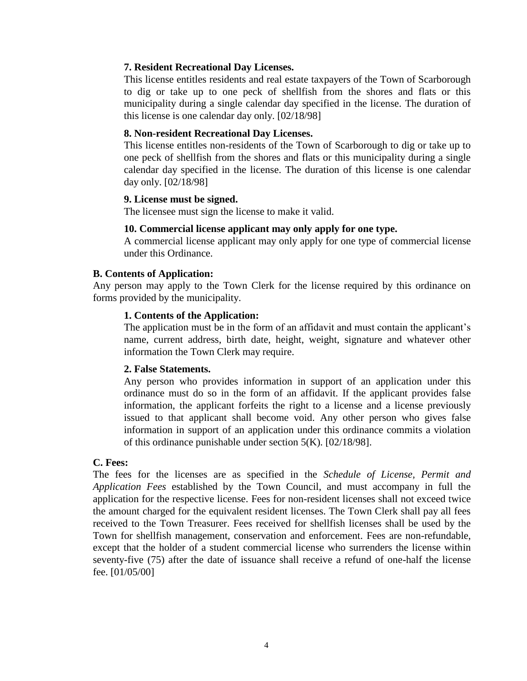## <span id="page-6-0"></span>**7. Resident Recreational Day Licenses.**

This license entitles residents and real estate taxpayers of the Town of Scarborough to dig or take up to one peck of shellfish from the shores and flats or this municipality during a single calendar day specified in the license. The duration of this license is one calendar day only. [02/18/98]

## <span id="page-6-1"></span>**8. Non-resident Recreational Day Licenses.**

This license entitles non-residents of the Town of Scarborough to dig or take up to one peck of shellfish from the shores and flats or this municipality during a single calendar day specified in the license. The duration of this license is one calendar day only. [02/18/98]

## <span id="page-6-2"></span>**9. License must be signed.**

The licensee must sign the license to make it valid.

## **10. Commercial license applicant may only apply for one type.**

A commercial license applicant may only apply for one type of commercial license under this Ordinance.

## <span id="page-6-4"></span><span id="page-6-3"></span>**B. Contents of Application:**

<span id="page-6-5"></span>Any person may apply to the Town Clerk for the license required by this ordinance on forms provided by the municipality.

## **1. Contents of the Application:**

The application must be in the form of an affidavit and must contain the applicant's name, current address, birth date, height, weight, signature and whatever other information the Town Clerk may require.

#### <span id="page-6-6"></span>**2. False Statements.**

Any person who provides information in support of an application under this ordinance must do so in the form of an affidavit. If the applicant provides false information, the applicant forfeits the right to a license and a license previously issued to that applicant shall become void. Any other person who gives false information in support of an application under this ordinance commits a violation of this ordinance punishable under section 5(K). [02/18/98].

#### <span id="page-6-7"></span>**C. Fees:**

The fees for the licenses are as specified in the *Schedule of License, Permit and Application Fees* established by the Town Council, and must accompany in full the application for the respective license. Fees for non-resident licenses shall not exceed twice the amount charged for the equivalent resident licenses. The Town Clerk shall pay all fees received to the Town Treasurer. Fees received for shellfish licenses shall be used by the Town for shellfish management, conservation and enforcement. Fees are non-refundable, except that the holder of a student commercial license who surrenders the license within seventy-five (75) after the date of issuance shall receive a refund of one-half the license fee. [01/05/00]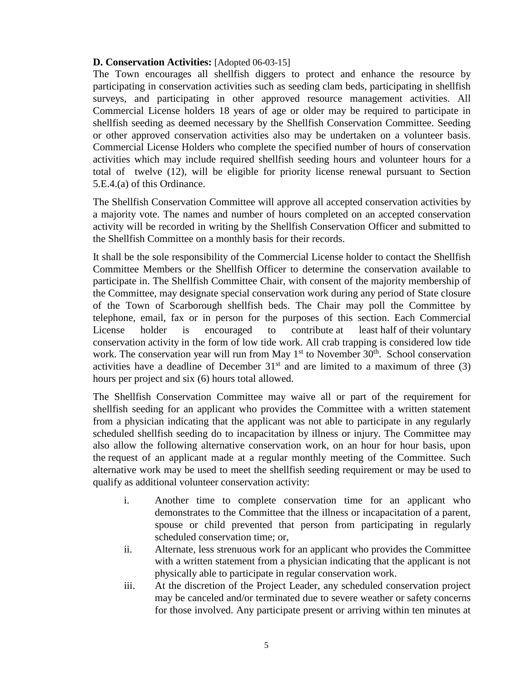# **D. Conservation Activities:** [Adopted 06-03-15]

The Town encourages all shellfish diggers to protect and enhance the resource by participating in conservation activities such as seeding clam beds, participating in shellfish surveys, and participating in other approved resource management activities. All Commercial License holders 18 years of age or older may be required to participate in shellfish seeding as deemed necessary by the Shellfish Conservation Committee. Seeding or other approved conservation activities also may be undertaken on a volunteer basis. Commercial License Holders who complete the specified number of hours of conservation activities which may include required shellfish seeding hours and volunteer hours for a total of twelve (12), will be eligible for priority license renewal pursuant to Section 5.E.4.(a) of this Ordinance.

The Shellfish Conservation Committee will approve all accepted conservation activities by a majority vote. The names and number of hours completed on an accepted conservation activity will be recorded in writing by the Shellfish Conservation Officer and submitted to the Shellfish Committee on a monthly basis for their records.

It shall be the sole responsibility of the Commercial License holder to contact the Shellfish Committee Members or the Shellfish Officer to determine the conservation available to participate in. The Shellfish Committee Chair, with consent of the majority membership of the Committee, may designate special conservation work during any period of State closure of the Town of Scarborough shellfish beds. The Chair may poll the Committee by telephone, email, fax or in person for the purposes of this section. Each Commercial License holder is encouraged to contribute at least half of their voluntary conservation activity in the form of low tide work. All crab trapping is considered low tide work. The conservation year will run from May  $1<sup>st</sup>$  to November  $30<sup>th</sup>$ . School conservation activities have a deadline of December  $31<sup>st</sup>$  and are limited to a maximum of three (3) hours per project and six (6) hours total allowed.

The Shellfish Conservation Committee may waive all or part of the requirement for shellfish seeding for an applicant who provides the Committee with a written statement from a physician indicating that the applicant was not able to participate in any regularly scheduled shellfish seeding do to incapacitation by illness or injury. The Committee may also allow the following alternative conservation work, on an hour for hour basis, upon the request of an applicant made at a regular monthly meeting of the Committee. Such alternative work may be used to meet the shellfish seeding requirement or may be used to qualify as additional volunteer conservation activity:

- i. Another time to complete conservation time for an applicant who demonstrates to the Committee that the illness or incapacitation of a parent, spouse or child prevented that person from participating in regularly scheduled conservation time; or,
- ii. Alternate, less strenuous work for an applicant who provides the Committee with a written statement from a physician indicating that the applicant is not physically able to participate in regular conservation work.
- iii. At the discretion of the Project Leader, any scheduled conservation project may be canceled and/or terminated due to severe weather or safety concerns for those involved. Any participate present or arriving within ten minutes at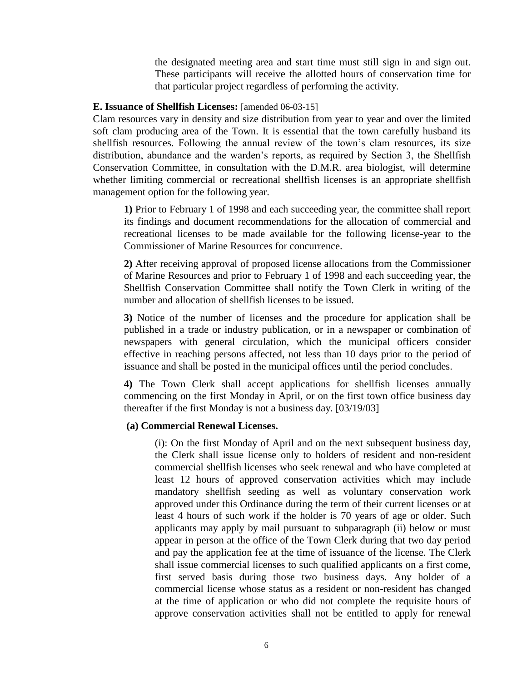the designated meeting area and start time must still sign in and sign out. These participants will receive the allotted hours of conservation time for that particular project regardless of performing the activity.

#### <span id="page-8-0"></span>**E. Issuance of Shellfish Licenses:** [amended 06-03-15]

Clam resources vary in density and size distribution from year to year and over the limited soft clam producing area of the Town. It is essential that the town carefully husband its shellfish resources. Following the annual review of the town's clam resources, its size distribution, abundance and the warden's reports, as required by Section 3, the Shellfish Conservation Committee, in consultation with the D.M.R. area biologist, will determine whether limiting commercial or recreational shellfish licenses is an appropriate shellfish management option for the following year.

**1)** Prior to February 1 of 1998 and each succeeding year, the committee shall report its findings and document recommendations for the allocation of commercial and recreational licenses to be made available for the following license-year to the Commissioner of Marine Resources for concurrence.

**2)** After receiving approval of proposed license allocations from the Commissioner of Marine Resources and prior to February 1 of 1998 and each succeeding year, the Shellfish Conservation Committee shall notify the Town Clerk in writing of the number and allocation of shellfish licenses to be issued.

**3)** Notice of the number of licenses and the procedure for application shall be published in a trade or industry publication, or in a newspaper or combination of newspapers with general circulation, which the municipal officers consider effective in reaching persons affected, not less than 10 days prior to the period of issuance and shall be posted in the municipal offices until the period concludes.

**4)** The Town Clerk shall accept applications for shellfish licenses annually commencing on the first Monday in April, or on the first town office business day thereafter if the first Monday is not a business day. [03/19/03]

#### <span id="page-8-1"></span>**(a) Commercial Renewal Licenses.**

(i): On the first Monday of April and on the next subsequent business day, the Clerk shall issue license only to holders of resident and non-resident commercial shellfish licenses who seek renewal and who have completed at least 12 hours of approved conservation activities which may include mandatory shellfish seeding as well as voluntary conservation work approved under this Ordinance during the term of their current licenses or at least 4 hours of such work if the holder is 70 years of age or older. Such applicants may apply by mail pursuant to subparagraph (ii) below or must appear in person at the office of the Town Clerk during that two day period and pay the application fee at the time of issuance of the license. The Clerk shall issue commercial licenses to such qualified applicants on a first come, first served basis during those two business days. Any holder of a commercial license whose status as a resident or non-resident has changed at the time of application or who did not complete the requisite hours of approve conservation activities shall not be entitled to apply for renewal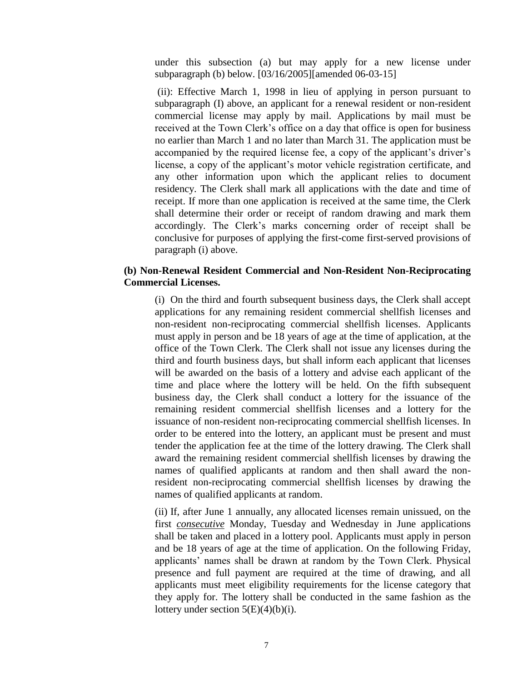under this subsection (a) but may apply for a new license under subparagraph (b) below. [03/16/2005][amended 06-03-15]

(ii): Effective March 1, 1998 in lieu of applying in person pursuant to subparagraph (I) above, an applicant for a renewal resident or non-resident commercial license may apply by mail. Applications by mail must be received at the Town Clerk's office on a day that office is open for business no earlier than March 1 and no later than March 31. The application must be accompanied by the required license fee, a copy of the applicant's driver's license, a copy of the applicant's motor vehicle registration certificate, and any other information upon which the applicant relies to document residency. The Clerk shall mark all applications with the date and time of receipt. If more than one application is received at the same time, the Clerk shall determine their order or receipt of random drawing and mark them accordingly. The Clerk's marks concerning order of receipt shall be conclusive for purposes of applying the first-come first-served provisions of paragraph (i) above.

# <span id="page-9-0"></span>**(b) Non-Renewal Resident Commercial and Non-Resident Non-Reciprocating Commercial Licenses.**

(i) On the third and fourth subsequent business days, the Clerk shall accept applications for any remaining resident commercial shellfish licenses and non-resident non-reciprocating commercial shellfish licenses. Applicants must apply in person and be 18 years of age at the time of application, at the office of the Town Clerk. The Clerk shall not issue any licenses during the third and fourth business days, but shall inform each applicant that licenses will be awarded on the basis of a lottery and advise each applicant of the time and place where the lottery will be held. On the fifth subsequent business day, the Clerk shall conduct a lottery for the issuance of the remaining resident commercial shellfish licenses and a lottery for the issuance of non-resident non-reciprocating commercial shellfish licenses. In order to be entered into the lottery, an applicant must be present and must tender the application fee at the time of the lottery drawing. The Clerk shall award the remaining resident commercial shellfish licenses by drawing the names of qualified applicants at random and then shall award the nonresident non-reciprocating commercial shellfish licenses by drawing the names of qualified applicants at random.

(ii) If, after June 1 annually, any allocated licenses remain unissued, on the first *consecutive* Monday, Tuesday and Wednesday in June applications shall be taken and placed in a lottery pool. Applicants must apply in person and be 18 years of age at the time of application. On the following Friday, applicants' names shall be drawn at random by the Town Clerk. Physical presence and full payment are required at the time of drawing, and all applicants must meet eligibility requirements for the license category that they apply for. The lottery shall be conducted in the same fashion as the lottery under section  $5(E)(4)(b)(i)$ .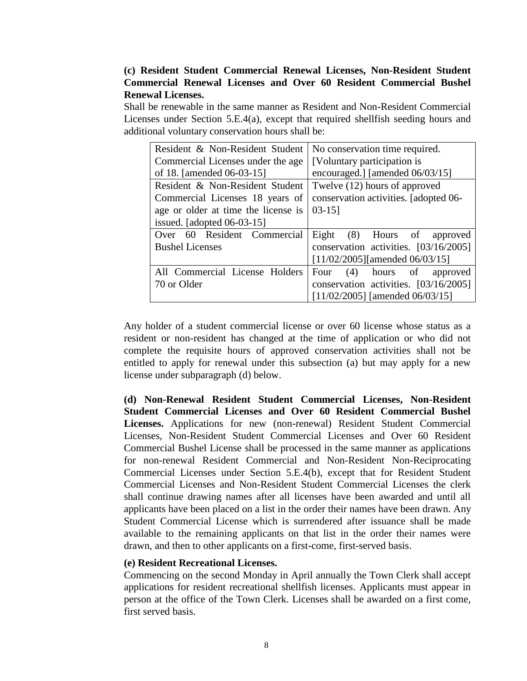# <span id="page-10-0"></span>**(c) Resident Student Commercial Renewal Licenses, Non-Resident Student Commercial Renewal Licenses and Over 60 Resident Commercial Bushel Renewal Licenses.**

Shall be renewable in the same manner as Resident and Non-Resident Commercial Licenses under Section 5.E.4(a), except that required shellfish seeding hours and additional voluntary conservation hours shall be:

| Resident & Non-Resident Student     | No conservation time required.        |
|-------------------------------------|---------------------------------------|
| Commercial Licenses under the age   | [Voluntary participation is]          |
| of 18. [amended 06-03-15]           | encouraged.] [amended 06/03/15]       |
| Resident & Non-Resident Student     | Twelve (12) hours of approved         |
| Commercial Licenses 18 years of     | conservation activities. [adopted 06- |
| age or older at time the license is | $03-15$ ]                             |
| issued. [adopted 06-03-15]          |                                       |
| Over 60 Resident Commercial         | Eight<br>(8) Hours of approved        |
| <b>Bushel Licenses</b>              | conservation activities. [03/16/2005] |
|                                     | $[11/02/2005]$ [amended 06/03/15]     |
| All Commercial License Holders      | (4)<br>hours of<br>Four<br>approved   |
| 70 or Older                         | conservation activities. [03/16/2005] |
|                                     | $[11/02/2005]$ [amended 06/03/15]     |

Any holder of a student commercial license or over 60 license whose status as a resident or non-resident has changed at the time of application or who did not complete the requisite hours of approved conservation activities shall not be entitled to apply for renewal under this subsection (a) but may apply for a new license under subparagraph (d) below.

**(d) Non-Renewal Resident Student Commercial Licenses, Non-Resident Student Commercial Licenses and Over 60 Resident Commercial Bushel Licenses.** Applications for new (non-renewal) Resident Student Commercial Licenses, Non-Resident Student Commercial Licenses and Over 60 Resident Commercial Bushel License shall be processed in the same manner as applications for non-renewal Resident Commercial and Non-Resident Non-Reciprocating Commercial Licenses under Section 5.E.4(b), except that for Resident Student Commercial Licenses and Non-Resident Student Commercial Licenses the clerk shall continue drawing names after all licenses have been awarded and until all applicants have been placed on a list in the order their names have been drawn. Any Student Commercial License which is surrendered after issuance shall be made available to the remaining applicants on that list in the order their names were drawn, and then to other applicants on a first-come, first-served basis.

#### <span id="page-10-1"></span>**(e) Resident Recreational Licenses.**

Commencing on the second Monday in April annually the Town Clerk shall accept applications for resident recreational shellfish licenses. Applicants must appear in person at the office of the Town Clerk. Licenses shall be awarded on a first come, first served basis.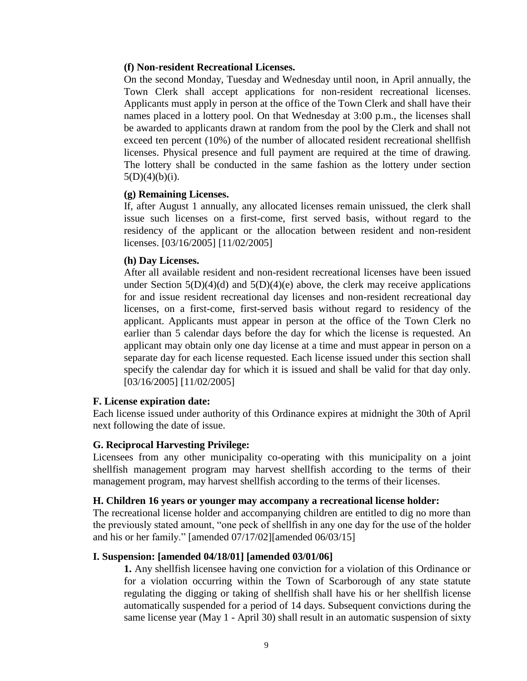## <span id="page-11-0"></span>**(f) Non-resident Recreational Licenses.**

On the second Monday, Tuesday and Wednesday until noon, in April annually, the Town Clerk shall accept applications for non-resident recreational licenses. Applicants must apply in person at the office of the Town Clerk and shall have their names placed in a lottery pool. On that Wednesday at 3:00 p.m., the licenses shall be awarded to applicants drawn at random from the pool by the Clerk and shall not exceed ten percent (10%) of the number of allocated resident recreational shellfish licenses. Physical presence and full payment are required at the time of drawing. The lottery shall be conducted in the same fashion as the lottery under section  $5(D)(4)(b)(i)$ .

## <span id="page-11-1"></span>**(g) Remaining Licenses.**

If, after August 1 annually, any allocated licenses remain unissued, the clerk shall issue such licenses on a first-come, first served basis, without regard to the residency of the applicant or the allocation between resident and non-resident licenses. [03/16/2005] [11/02/2005]

## <span id="page-11-2"></span>**(h) Day Licenses.**

After all available resident and non-resident recreational licenses have been issued under Section  $5(D)(4)(d)$  and  $5(D)(4)(e)$  above, the clerk may receive applications for and issue resident recreational day licenses and non-resident recreational day licenses, on a first-come, first-served basis without regard to residency of the applicant. Applicants must appear in person at the office of the Town Clerk no earlier than 5 calendar days before the day for which the license is requested. An applicant may obtain only one day license at a time and must appear in person on a separate day for each license requested. Each license issued under this section shall specify the calendar day for which it is issued and shall be valid for that day only. [03/16/2005] [11/02/2005]

#### <span id="page-11-3"></span>**F. License expiration date:**

Each license issued under authority of this Ordinance expires at midnight the 30th of April next following the date of issue.

# <span id="page-11-4"></span>**G. Reciprocal Harvesting Privilege:**

Licensees from any other municipality co-operating with this municipality on a joint shellfish management program may harvest shellfish according to the terms of their management program, may harvest shellfish according to the terms of their licenses.

#### <span id="page-11-5"></span>**H. Children 16 years or younger may accompany a recreational license holder:**

The recreational license holder and accompanying children are entitled to dig no more than the previously stated amount, "one peck of shellfish in any one day for the use of the holder and his or her family." [amended 07/17/02][amended 06/03/15]

# <span id="page-11-6"></span>**I. Suspension: [amended 04/18/01] [amended 03/01/06]**

**1.** Any shellfish licensee having one conviction for a violation of this Ordinance or for a violation occurring within the Town of Scarborough of any state statute regulating the digging or taking of shellfish shall have his or her shellfish license automatically suspended for a period of 14 days. Subsequent convictions during the same license year (May 1 - April 30) shall result in an automatic suspension of sixty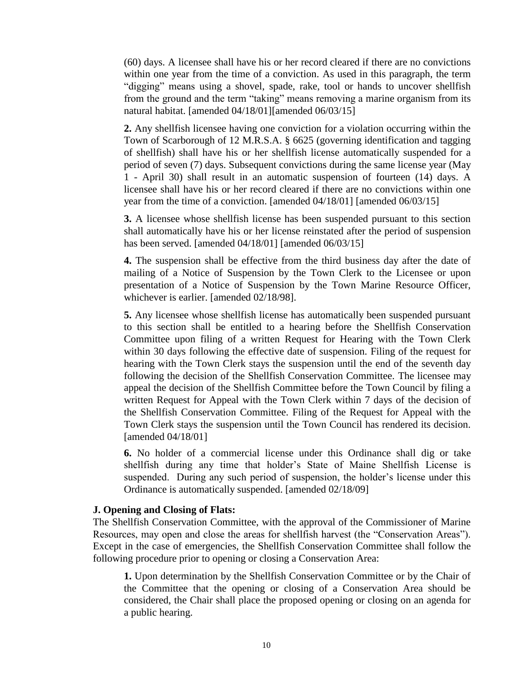(60) days. A licensee shall have his or her record cleared if there are no convictions within one year from the time of a conviction. As used in this paragraph, the term "digging" means using a shovel, spade, rake, tool or hands to uncover shellfish from the ground and the term "taking" means removing a marine organism from its natural habitat. [amended 04/18/01][amended 06/03/15]

**2.** Any shellfish licensee having one conviction for a violation occurring within the Town of Scarborough of 12 M.R.S.A. § 6625 (governing identification and tagging of shellfish) shall have his or her shellfish license automatically suspended for a period of seven (7) days. Subsequent convictions during the same license year (May 1 - April 30) shall result in an automatic suspension of fourteen (14) days. A licensee shall have his or her record cleared if there are no convictions within one year from the time of a conviction. [amended 04/18/01] [amended 06/03/15]

**3.** A licensee whose shellfish license has been suspended pursuant to this section shall automatically have his or her license reinstated after the period of suspension has been served. [amended 04/18/01] [amended 06/03/15]

**4.** The suspension shall be effective from the third business day after the date of mailing of a Notice of Suspension by the Town Clerk to the Licensee or upon presentation of a Notice of Suspension by the Town Marine Resource Officer, whichever is earlier. [amended 02/18/98].

**5.** Any licensee whose shellfish license has automatically been suspended pursuant to this section shall be entitled to a hearing before the Shellfish Conservation Committee upon filing of a written Request for Hearing with the Town Clerk within 30 days following the effective date of suspension. Filing of the request for hearing with the Town Clerk stays the suspension until the end of the seventh day following the decision of the Shellfish Conservation Committee. The licensee may appeal the decision of the Shellfish Committee before the Town Council by filing a written Request for Appeal with the Town Clerk within 7 days of the decision of the Shellfish Conservation Committee. Filing of the Request for Appeal with the Town Clerk stays the suspension until the Town Council has rendered its decision. [amended 04/18/01]

**6.** No holder of a commercial license under this Ordinance shall dig or take shellfish during any time that holder's State of Maine Shellfish License is suspended. During any such period of suspension, the holder's license under this Ordinance is automatically suspended. [amended 02/18/09]

### <span id="page-12-0"></span>**J. Opening and Closing of Flats:**

The Shellfish Conservation Committee, with the approval of the Commissioner of Marine Resources, may open and close the areas for shellfish harvest (the "Conservation Areas"). Except in the case of emergencies, the Shellfish Conservation Committee shall follow the following procedure prior to opening or closing a Conservation Area:

**1.** Upon determination by the Shellfish Conservation Committee or by the Chair of the Committee that the opening or closing of a Conservation Area should be considered, the Chair shall place the proposed opening or closing on an agenda for a public hearing.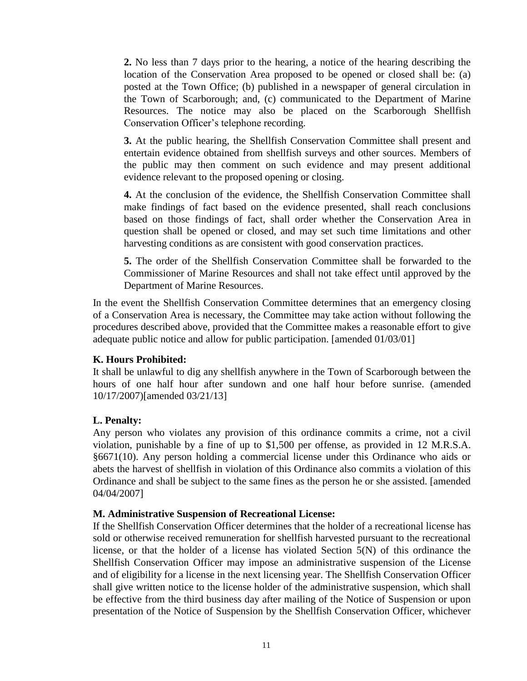**2.** No less than 7 days prior to the hearing, a notice of the hearing describing the location of the Conservation Area proposed to be opened or closed shall be: (a) posted at the Town Office; (b) published in a newspaper of general circulation in the Town of Scarborough; and, (c) communicated to the Department of Marine Resources. The notice may also be placed on the Scarborough Shellfish Conservation Officer's telephone recording.

**3.** At the public hearing, the Shellfish Conservation Committee shall present and entertain evidence obtained from shellfish surveys and other sources. Members of the public may then comment on such evidence and may present additional evidence relevant to the proposed opening or closing.

**4.** At the conclusion of the evidence, the Shellfish Conservation Committee shall make findings of fact based on the evidence presented, shall reach conclusions based on those findings of fact, shall order whether the Conservation Area in question shall be opened or closed, and may set such time limitations and other harvesting conditions as are consistent with good conservation practices.

**5.** The order of the Shellfish Conservation Committee shall be forwarded to the Commissioner of Marine Resources and shall not take effect until approved by the Department of Marine Resources.

In the event the Shellfish Conservation Committee determines that an emergency closing of a Conservation Area is necessary, the Committee may take action without following the procedures described above, provided that the Committee makes a reasonable effort to give adequate public notice and allow for public participation. [amended 01/03/01]

# <span id="page-13-0"></span>**K. Hours Prohibited:**

It shall be unlawful to dig any shellfish anywhere in the Town of Scarborough between the hours of one half hour after sundown and one half hour before sunrise. (amended 10/17/2007)[amended 03/21/13]

# <span id="page-13-1"></span>**L. Penalty:**

Any person who violates any provision of this ordinance commits a crime, not a civil violation, punishable by a fine of up to \$1,500 per offense, as provided in 12 M.R.S.A. §6671(10). Any person holding a commercial license under this Ordinance who aids or abets the harvest of shellfish in violation of this Ordinance also commits a violation of this Ordinance and shall be subject to the same fines as the person he or she assisted. [amended 04/04/2007]

# <span id="page-13-2"></span>**M. Administrative Suspension of Recreational License:**

If the Shellfish Conservation Officer determines that the holder of a recreational license has sold or otherwise received remuneration for shellfish harvested pursuant to the recreational license, or that the holder of a license has violated Section 5(N) of this ordinance the Shellfish Conservation Officer may impose an administrative suspension of the License and of eligibility for a license in the next licensing year. The Shellfish Conservation Officer shall give written notice to the license holder of the administrative suspension, which shall be effective from the third business day after mailing of the Notice of Suspension or upon presentation of the Notice of Suspension by the Shellfish Conservation Officer, whichever